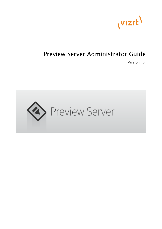

# Preview Server Administrator Guide

Version 4.4

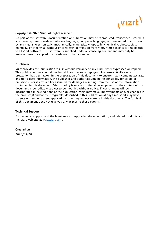

#### Copyright © 2020 Vizrt. All rights reserved.

No part of this software, documentation or publication may be reproduced, transcribed, stored in a retrieval system, translated into any language, computer language, or transmitted in any form or by any means, electronically, mechanically, magnetically, optically, chemically, photocopied, manually, or otherwise, without prior written permission from Vizrt. Vizrt specifically retains title to all Vizrt software. This software is supplied under a license agreement and may only be installed, used or copied in accordance to that agreement.

#### Disclaimer

Vizrt provides this publication "as is" without warranty of any kind, either expressed or implied. This publication may contain technical inaccuracies or typographical errors. While every precaution has been taken in the preparation of this document to ensure that it contains accurate and up-to-date information, the publisher and author assume no responsibility for errors or omissions. Nor is any liability assumed for damages resulting from the use of the information contained in this document. Vizrt's policy is one of continual development, so the content of this document is periodically subject to be modified without notice. These changes will be incorporated in new editions of the publication. Vizrt may make improvements and/or changes in the product(s) and/or the program(s) described in this publication at any time. Vizrt may have patents or pending patent applications covering subject matters in this document. The furnishing of this document does not give you any license to these patents.

#### Technical Support

For technical support and the latest news of upgrades, documentation, and related products, visit the Vizrt web site at [www.vizrt.com.](http://www.vizrt.com)

#### Created on

2020/05/28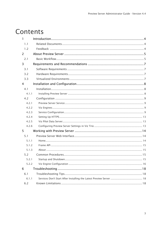# Contents

| $\mathbf{1}$ |  |
|--------------|--|
| 1.1          |  |
| 1.2          |  |
| 2            |  |
| 2.1          |  |
| 3            |  |
| 3.1          |  |
| 3.2          |  |
| 3.3          |  |
| 4            |  |
| 4.1          |  |
| 4.1.1        |  |
| 4.2          |  |
| 4.2.1        |  |
| 4.2.2        |  |
| 4.2.3        |  |
| 4.2.4        |  |
| 4.2.5        |  |
| 4.2.6        |  |
| 5            |  |
| 5.1          |  |
| 5.1.1        |  |
| 5.1.2        |  |
| 5.1.3        |  |
| 5.2          |  |
|              |  |
| 5.2.2        |  |
| 6            |  |
| 6.1          |  |
| 6.1.1        |  |
| $6.2$        |  |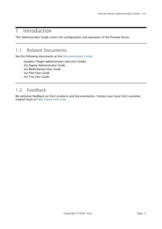## <span id="page-3-0"></span>1 Introduction

This Administrator Guide covers the configuration and operation of the Preview Server.

## <span id="page-3-1"></span>1.1 Related Documents

See the following documents at the [Documentation Center](https://docs.vizrt.com/):

- *Graphics Plugin Administrator and User Guides*
- *Viz Engine Administrator Guide*
- *Viz Multichannel User Guide*
- *Viz Pilot User Guide*
- *Viz Trio User Guide*

## <span id="page-3-2"></span>1.2 Feedback

We welcome feedback on Vizrt products and documentation. Contact your local Vizrt customer support team at [http://www.vizrt.com](http://www.vizrt.com/).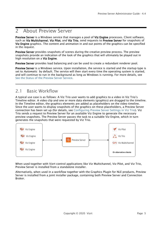## <span id="page-4-0"></span>2 About Preview Server

Preview Server is a Windows service that manages a pool of Viz Engine processes. Client software, such as Viz Multichannel, Viz Pilot, and Viz Trio, send requests to Preview Server for snapshots of Viz Engine graphics. The content and animation in and out points of the graphics can be specified in the request.

Preview Server provides snapshots of scenes during the creative preview process. The preview snapshots provide an indication of the look of the graphics that will ultimately be played out in high resolution on a Viz Engine.

Preview Server provides load balancing and can be used to create a redundant renderer pool.

Preview Server is a Windows service. Upon installation, the service is started and the startup type is set to *Automatic* by default. The service will then start every time the operating system is started, and will continue to run in the background as long as Windows is running. For more details, see [See the Status of the Preview Server Service](#page-15-1).

## <span id="page-4-1"></span>2.1 Basic Workflow

A typical use case is as follows: A Viz Trio user wants to add graphics to a video in Viz Trio's Timeline editor. A video clip and one or more data elements (graphics) are dragged to the timeline. In the Timeline editor, the graphics elements are added as placeholders on the video timeline. Since the user wants to display snapshots of the graphics on these placeholders, a Preview Server connection has been set up (for details, see [Configuring Preview Server Settings in Viz Trio\)](#page-12-3). Viz Trio sends a request to Preview Server for an available Viz Engine to generate the necessary preview snapshots. The Preview Server passes the task to a suitable Viz Engine, which in turn generates the snapshots that were requested by Viz Trio.



When used together with Vizrt control applications like Viz Multichannel, Viz Pilot, and Viz Trio, Preview Server is installed from a standalone installer.

Alternatively, when used in a workflow together with the Graphics Plugin for NLE products, Preview Server is installed from a joint installer package, containing both Preview Server and Connection Broker.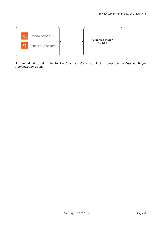

For more details on this joint Preview Server and Connection Broker setup, see the *Graphics Plugin Administrator Guide*.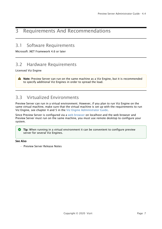## <span id="page-6-0"></span>3 Requirements And Recommendations

## <span id="page-6-1"></span>3.1 Software Requirements

Microsoft .NET Framework 4.6 or later

## <span id="page-6-2"></span>3.2 Hardware Requirements

Licensed Viz Engine

A Note: Preview Server can run on the same machine as a Viz Engine, but it is recommended to specify additional Viz Engines in order to spread the load.

## <span id="page-6-3"></span>3.3 Virtualized Environments

Preview Server can run in a virtual environment. However, if you plan to run Viz Engine on the same virtual machine, make sure that the virtual machine is set up with the requirements to run Viz Engine, see chapter 4 and 5 in the [Viz Engine Administrator Guide](https://docs.vizrt.com/viz-engine.html).

Since Preview Server is configured via a [web browser](#page-13-1) on localhost and the web browser and Preview Server must run on the same machine, you must use remote desktop to configure your system.

**Tip:** When running in a virtual environment it can be convenient to configure preview server for several Viz Engines.

#### See Also

• Preview Server Release Notes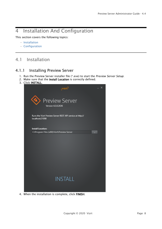## <span id="page-7-0"></span>4 Installation And Configuration

This section covers the following topics:

- [Installation](#page-7-1)
- [Configuration](#page-8-0)

## <span id="page-7-1"></span>4.1 Installation

### <span id="page-7-2"></span>4.1.1 Installing Preview Server

- 1. Run the Preview Server installer file (\*.exe) to start the *Preview Server Setup*.
- 2. Make sure that the Install Location is correctly defined.
- 3. Click INSTALL.



4. When the installation is complete, click FINISH.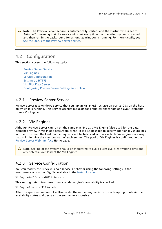A Note: The Preview Server service is automatically started, and the startup type is set to *Automatic*, meaning that the service will start every time the operating system is started, and then run in the background for as long as Windows is running. For more details, see [See the Status of the Preview Server Service](#page-15-1).

## <span id="page-8-0"></span>4.2 Configuration

This section covers the following topics:

- [Preview Server Service](#page-8-1)
- [Viz Engines](#page-8-2)
- [Service Configuration](#page-8-3)
- [Setting Up HTTPS](#page-12-0)
- [Viz Pilot Data Server](#page-12-1)
- [Configuring Preview Server Settings in Viz Trio](#page-12-2)

### <span id="page-8-1"></span>4.2.1 Preview Server Service

Preview Server is a Windows Service that sets up an HTTP REST service on port 21098 on the host on which it is running. This service accepts requests for graphical snapshots of playout elements from a Viz Engine.

### <span id="page-8-2"></span>4.2.2 Viz Engines

Although Preview Server can run on the same machine as a Viz Engine (also used for the data element preview in Viz Pilot's newsroom client), it is also possible to specify additional Viz Engines in order to spread the load. Frame requests will be balanced across available Viz engines in a way that will minimize the memory load of each engine. The pool of Viz Engines is configured in the [Preview Server Web Interface](#page-13-1) Home page.

A Note: Scaling of the system should be monitored to avoid excessive client waiting time and any potential overload of the Viz Engines.

### <span id="page-8-3"></span>4.2.3 Service Configuration

You can modify the Preview Server service's behavior using the following settings in the PreviewServer.exe.config file available in the [install location:](#page-7-1)

VizEnginePollIntervalMilliSeconds

This setting determines how often a render engine's availability is checked.

VizEngineTimeoutMilliSeconds

After the specified amount of milliseconds, the render engine list stops attempting to obtain the availability status and declares the engine unresponsive.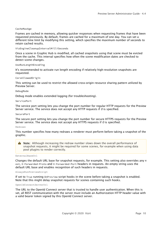#### CacheMaxAge

Frames are cached in memory, allowing quicker responses when requesting frames that have been requested previously. By default, frames are cached for a maximum of one day. You can set a different time limit by modifying this setting, which specifies the maximum number of seconds to retain cached results.

#### VizEngineCleanupIntervalMilliSeconds

Once a scene in Graphic Hub is modified, all cached snapshots using that scene must be evicted from the cache. This interval specifies how often the scene modification dates are checked to detect scene changes.

#### UseRunLengthEncoding

It's recommended to activate run length encoding if relatively high-resolution snapshots are requested.

#### CorsAllowedOrigin

This setting can be used to restrict the allowed cross-origin resource sharing pattern utilized by Preview Server.

#### DebugMode

Debug mode enables extended logging (for troubleshooting).

#### ServicePort

The service port setting lets you change the port number for regular HTTP requests for the Preview Server service. The service does not accept any HTTP requests if *0* is specified.

#### SecurePort

The secure port setting lets you change the port number for secure HTTPS requests for the Preview Server service. The service does not accept any HTTPS requests if *0* is specified.

#### Redraws

This number specifies how many redraws a renderer must perform before taking a snapshot of the graphic.

A Note: Although increasing the redraw number slows down the overall performance of snapshot requests, it might be required for some scenes, for example when using data pool plugins to render correctly.

ExternalBaseUrl

Changes the default URL base for snapshot requests, for example. This setting also overrides any H ost, X-Forwarded-Proto and X-Forwarded-Port headers in requests. An empty string uses the default URL base and enables recognition of such headers in requests.

AlwaysRunPreviewScript

If set to True running OnPreview script hooks in the scene before taking a snapshot is enabled. Note that this might delay snapshot requests for scenes containing such hooks.

OpenIdConnectServerUrl

The URL to the OpenId Connect server that is trusted to handle user authentication. When this is set, all REST communication with the server must include an Authorization HTTP header value with a valid bearer token signed by this OpenId Connect server.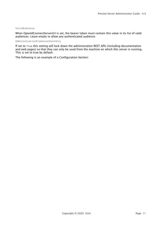#### ValidAudience

When OpenIdConnectServerUrl is set, the bearer token must contain this value in its list of valid audiences. Leave empty to allow any authenticated audience.

AdministrationFromLocalhostOnly

If set to True this setting will lock down the administration REST APIs (including documentation and web pages) so that they can only be used from the machine on which this server is running. This is set to true by default.

The following is an example of a Configuration Section: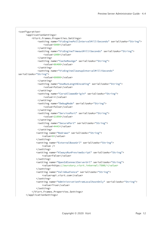```
<configuration>
      <applicationSettings>
          <Vizrt.Frames.Properties.Settings>
              <setting name="VizEnginePollIntervalMilliSeconds" serializeAs="String">
                   <value>5000</value>
              </setting>
              <setting name="VizEngineTimeoutMilliSeconds" serializeAs="String">
                   <value>1000</value>
              </setting>
              <setting name="CacheMaxAge" serializeAs="String">
                   <value>86400</value>
              </setting>
              <setting name="VizEngineCleanupIntervalMilliSeconds"
serializeAs="String">
                   <value>60000</value>
              </setting>
              <setting name="UseRunLengthEncoding" serializeAs="String">
                   <value>False</value>
              </setting>
              <setting name="CorsAllowedOrigin" serializeAs="String">
                   <value>*</value>
              </setting>
              <setting name="DebugMode" serializeAs="String">
                   <value>False</value>
              </setting>
              <setting name="ServicePort" serializeAs="String">
                   <value>21098</value>
              </setting>
              <setting name="SecurePort" serializeAs="String">
                  <value>4443</value>
              </setting>
             <setting name="Redraws" serializeAs="String">
                 <value>0</value>
             </setting>
             <setting name="ExternalBaseUrl" serializeAs="String">
                  <value />
             </setting>
             <setting name="AlwaysRunPreviewScript" serializeAs="String">
                  <value>False</value>
             </setting>
             <setting name="OpenIdConnectServerUrl" serializeAs="String">
                  <value>https://ourstory.vizrt.internal:7500/</value>
             </setting>
             <setting name="ValidAudience" serializeAs="String">
                  <value>api.vizrt.com</value>
             </setting>
             <setting name="AdministrationFromLocalhostOnly" serializeAs="String">
                  <value>True</value>
             </setting>
          </Vizrt.Frames.Properties.Settings>
      </applicationSettings>
```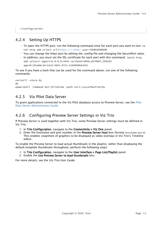</configuration>

### <span id="page-12-0"></span>4.2.4 Setting Up HTTPS

- To open the HTTPS port, run the following command once for each port you want to test: ne tsh http add urlacl url[=https://+:4443/](#page-8-0) user=YOURUSERNAME
- You can change the https port by editing the .config file and changing the SecurePort value.
- In addition, you must set the SSL certificate for each port with this command: netsh http add sslcert ipport=0.0.0.0:4443 certhash=HASH\_WITHOUT\_SPACES appid={81e86c2d-63c0-4841-b72c-2189604b4245}

To see if you have a hash that can be used for the command above, run one of the following commands:

```
certutil -store My
or
powershell -Command Get-ChildItem -path cert:\LocalMachine\My
```
### <span id="page-12-1"></span>4.2.5 Viz Pilot Data Server

To grant applications connected to the Viz Pilot database access to Preview Server, see the [Pilot](http://docs.vizrt.com/pilot-data-server-guide/8.4/Pilot_Data_Server_Administrator_Guide.html)  [Data Server Administrator Guide](http://docs.vizrt.com/pilot-data-server-guide/8.4/Pilot_Data_Server_Administrator_Guide.html).

### <span id="page-12-3"></span><span id="page-12-2"></span>4.2.6 Configuring Preview Server Settings in Viz Trio

If Preview Server is used together with Viz Trio, some Preview Server settings must be defined in Viz Trio:

- 1. In Trio Configuration, navigate to the Connectivity > Viz One panel.
- 2. Enter the hostname and port number in the Preview Server Host box (format <code>hostname:port</code>). This enables snapshots of graphics to be displayed as video overlays in Viz Trio's Timeline editor.

To enable the Preview Server to load actual thumbnails in the playlist, rather than displaying the default template thumbnails throughout, perform the following steps:

- 1. In Trio Configuration, navigate to the User Interface > Page List/Playlist panel.
- 2. Enable the Use Preview Server to load thumbnails box.

For more details, see the *Viz Trio User Guide*.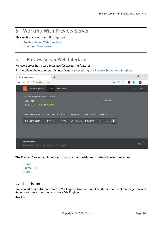## <span id="page-13-0"></span>5 Working With Preview Server

This section covers the following topics:

- [Preview Server Web Interface](#page-13-1)
- [Common Procedures](#page-14-2)

## <span id="page-13-1"></span>5.1 Preview Server Web Interface

Preview Server has a web interface for accessing features.

For details on how to open this interface, see [Accessing the Preview Server Web Interface.](#page-14-4)

| ◈            | <b>Preview Server</b>                                                  | $\times$<br>$+$ |           |                        |                    |                |   |        |               |   | $\Box$          | $\times$ |
|--------------|------------------------------------------------------------------------|-----------------|-----------|------------------------|--------------------|----------------|---|--------|---------------|---|-----------------|----------|
| $\leftarrow$ | 1098 localhost:21098<br>C<br>$\rightarrow$                             |                 |           |                        |                    |                |   | 0- Q ☆ | $\mathcal{F}$ | G | $\vert A \vert$ | ÷        |
|              | ◈<br><b>Preview Server</b>                                             | Home            | Frame API |                        |                    |                |   |        |               |   | 4.3.0.2636      |          |
|              | VIZ ENGINE NAME OR IP ADDRESS                                          |                 |           |                        |                    |                |   |        |               |   |                 |          |
|              | VizEngine1                                                             |                 |           |                        |                    | <b>Add New</b> |   |        |               |   |                 |          |
|              | Renderer added: BGO-ANJW:50007<br>NAME OR IP ADDRESS VIDEO MODE ASPECT |                 |           | <b>VERSION</b>         | <b>GRAPHIC HUB</b> | <b>STATUS</b>  |   |        |               |   |                 |          |
|              |                                                                        |                 |           |                        |                    |                |   |        |               |   |                 |          |
|              | BGO-ANJW:50007                                                         | 1080p 50        | 1.778     | v3.12.0.81534 BGO-ANJW |                    | Responsive     | î |        |               |   |                 |          |
|              |                                                                        |                 |           |                        |                    |                |   |        |               |   |                 |          |
|              |                                                                        |                 |           |                        |                    |                |   |        |               |   |                 |          |
|              |                                                                        |                 |           |                        |                    |                |   |        |               |   |                 |          |
|              | <b>Preview Server</b>                                                  |                 |           |                        |                    |                |   |        |               |   |                 |          |
|              | Copyright 2012-2019 • Vizrt AG • All rights reserved                   |                 |           |                        |                    |                |   |        |               |   | <b>VIZI</b>     |          |

The Preview Server web interface contains a menu with links to the following resources:

- [Home](#page-13-2)
- [Frame API](#page-14-0)
- [About](#page-14-1)

### <span id="page-13-2"></span>5.1.1 Home

You can add, monitor and remove Viz Engines from a pool of renderers on the Home page. Preview Server can interact with one or more Viz Engines.

#### See Also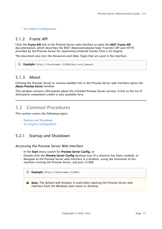• [Viz Engine Configuration](#page-15-2)

### <span id="page-14-0"></span>5.1.2 Frame API

Click the Frame API link in the Preview Server web interface to open the REST Frame API documentation, which describes the REST (Representational State Transfer) API over HTTP, provided by the Preview Server for requesting rendered frames from a Viz Engine.

The document also lists the *Resources* and *Data Types* that are used in the interface.

#### Example: http://<hostname>:21098/doc/rest\_manual

### <span id="page-14-1"></span>5.1.3 About

Clicking the *Preview Server* or *version number* link in the Preview Server web interface opens the About Preview Server window.

This window contains information about the installed Preview Server version. A link to the list of *third-party component credits* is also available here.

## <span id="page-14-2"></span>5.2 Common Procedures

This section covers the following topics:

- [Startup and Shutdown](#page-14-3)
- [Viz Engine Configuration](#page-15-0)

### <span id="page-14-3"></span>5.2.1 Startup and Shutdown

#### <span id="page-14-4"></span>Accessing the Preview Server Web Interface

- In the Start menu search for Preview Server Config, or
- Double-click the Preview Server Config desktop icon (if a shortcut has been created), or
- Navigate to the Preview Server web interface in a browser, using the hostname of the machine running the Preview Server, and port *21098*.

| <b>Example:</b> http:// <hostname>:21098/<br/>(i)</hostname> |                                                                           |
|--------------------------------------------------------------|---------------------------------------------------------------------------|
| interface from the Windows Start menu or desktop.            | Note: The default web browser is used when opening the Preview Server web |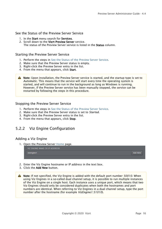#### <span id="page-15-1"></span>See the Status of the Preview Server Service

- 1. In the Start menu search for Services.
- 2. Scroll down to the Vizrt Preview Server service. The status of the Preview Server service is listed in the Status column.

#### Starting the Preview Server Service

- 1. Perform the steps in [See the Status of the Preview Server Service](#page-15-1).
- 2. Make sure that the Preview Server status is empty.
- 3. Right-click the Preview Server entry in the list.
- 4. From the menu that appears, click Start.

A Note: Upon installation, the Preview Server service is started, and the startup type is set to *Automatic*. This means that the service will start every time the operating system is started, and will continue to run in the background as long as Windows is running. However, if the Preview Server service has been manually stopped, the service can be restarted by following the steps in this procedure.

#### Stopping the Preview Server Service

- 1. Perform the steps in [See the Status of the Preview Server Service](#page-15-1).
- 2. Make sure that the Preview Server status is set to *Started*.
- 3. Right-click the Preview Server entry in the list.
- <span id="page-15-2"></span>4. From the menu that appears, click Stop.

### <span id="page-15-0"></span>5.2.2 Viz Engine Configuration

#### Adding a Viz Engine

1. Open the Preview Server [Home](#page-13-1) page.



- 2. Enter the Viz Engine hostname or IP address in the text box.
- 3. Click the Add New button.

Note: If not specified, the Viz Engine is added with the default port number *50010*. When using Viz Engines in a so-called dual channel setup, it is possible to run multiple instances of the Viz Engine on a single host. Each instance uses a unique port, which means that two Viz Engines should only be considered duplicates when both the hostnames and port numbers are identical. When referring to Viz Engines in a dual channel setup, type the port number after the hostname (for example *VizEngine1:51010*).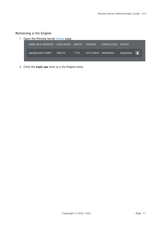### Removing a Viz Engine

1. Open the Preview Server [Home](#page-13-1) page.

| NAME OR IP ADDRESS VIDEO MODE ASPECT VERSION |          |          |                             | <b>GRAPHIC HUB STATUS</b> |            |  |
|----------------------------------------------|----------|----------|-----------------------------|---------------------------|------------|--|
| bgoqapreview1:50007                          | 1080i 50 | $-1.778$ | v3.8.2.56645 slartibartfast |                           | Responsive |  |
|                                              |          |          |                             |                           |            |  |

2. Click the trash can next to a Viz Engine entry.